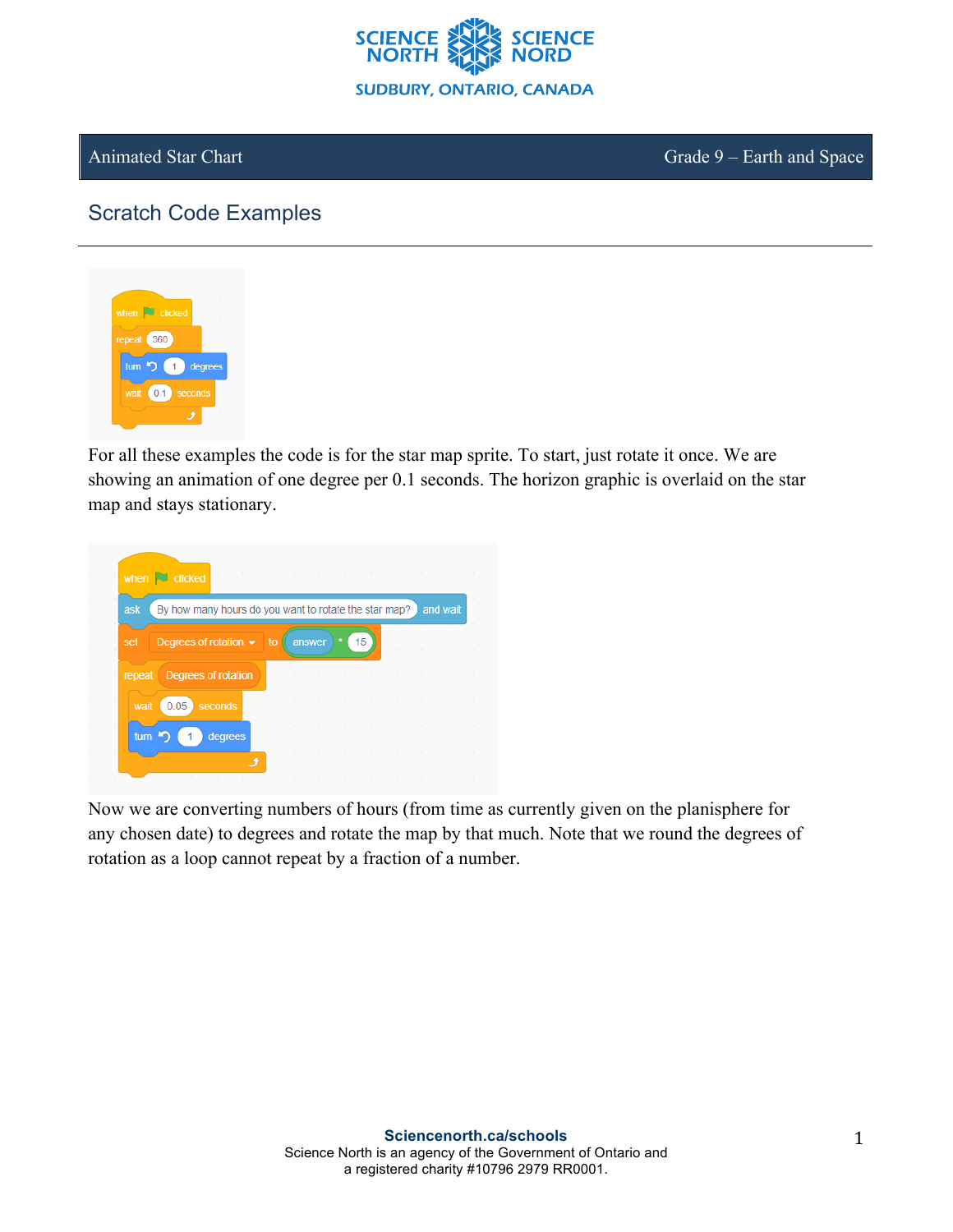

Animated Star Chart Grade 9 – Earth and Space

## Scratch Code Examples



For all these examples the code is for the star map sprite. To start, just rotate it once. We are showing an animation of one degree per 0.1 seconds. The horizon graphic is overlaid on the star map and stays stationary.



Now we are converting numbers of hours (from time as currently given on the planisphere for any chosen date) to degrees and rotate the map by that much. Note that we round the degrees of rotation as a loop cannot repeat by a fraction of a number.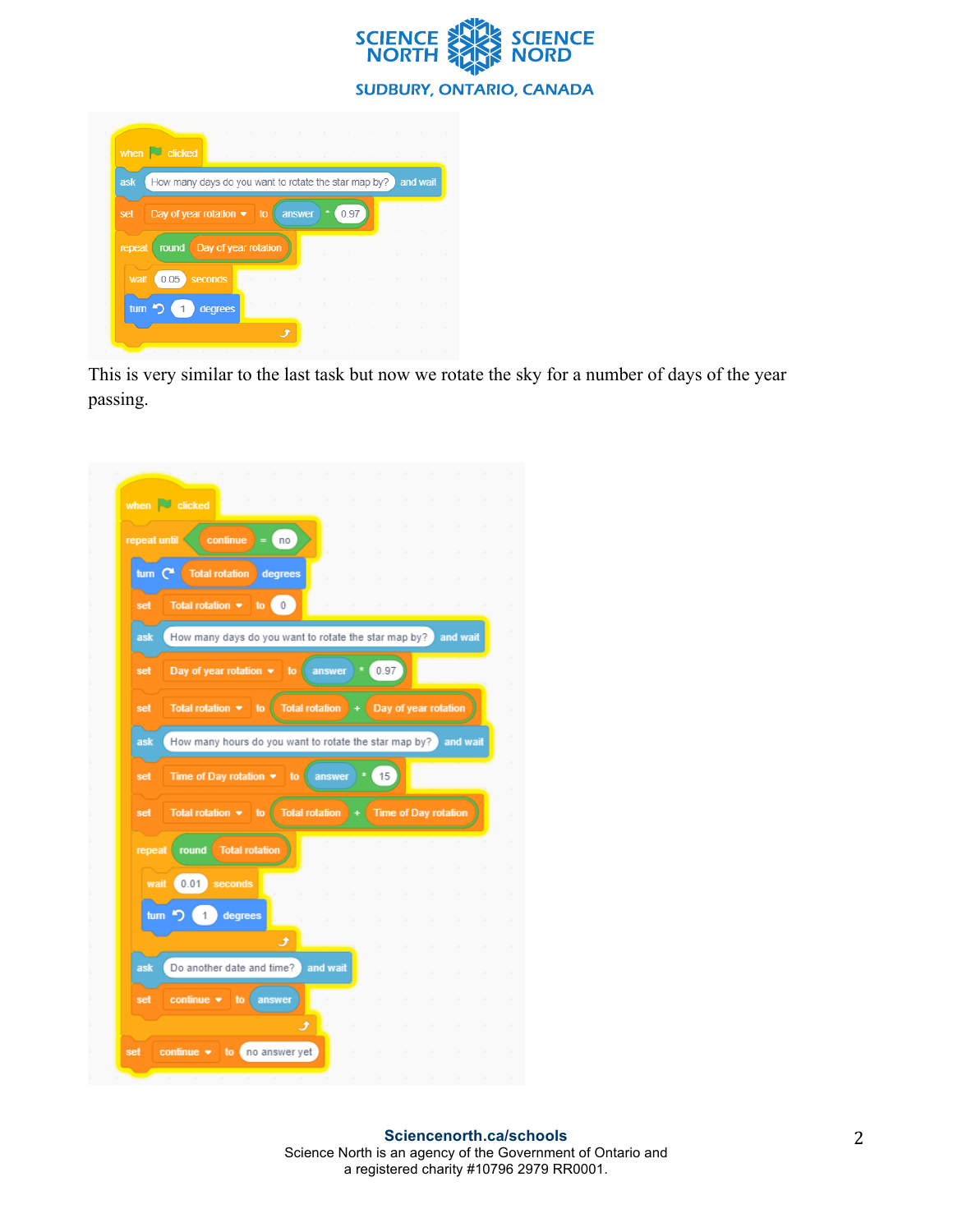

|        | when $\Box$ clicked                                        |      |          |
|--------|------------------------------------------------------------|------|----------|
| ask    | How many days do you want to rotate the star map by?       |      | and wait |
| set    | Day of year rotation $\blacktriangleright$<br>answer<br>to | 0.97 |          |
| repeat | Day of year rotation<br>round                              |      |          |
|        |                                                            |      |          |
| wait   | 0.05<br>seconds                                            |      |          |
|        | tum <sup>5</sup><br>degrees                                |      |          |
|        |                                                            |      |          |
|        |                                                            |      |          |

This is very similar to the last task but now we rotate the sky for a number of days of the year passing.

|            | repeat until<br>continue<br>$=$<br>no                                                                  |
|------------|--------------------------------------------------------------------------------------------------------|
| turn $C^*$ | <b>Total rotation</b><br>degrees                                                                       |
| set        | 0<br>Total rotation $\bullet$<br>to                                                                    |
| ask        | How many days do you want to rotate the star map by?<br>and wait                                       |
| set        | Day of year rotation $\blacktriangleright$<br>0.97<br>to<br>answer                                     |
| set        | <b>Total rotation</b><br>Day of year rotation<br>Total rotation $\star$<br>to<br>$\ddot{}$             |
| ask        | How many hours do you want to rotate the star map by?<br>and wait                                      |
| set        | 15<br>Time of Day rotation $\blacktriangledown$<br>to<br>answer                                        |
|            |                                                                                                        |
| set        | <b>Total rotation</b><br>Total rotation $\blacktriangledown$<br><b>Time of Day rotation</b><br>to<br>÷ |
| repeat     | <b>Total rotation</b><br>round                                                                         |
| wait       | 0.01<br>seconds                                                                                        |
|            |                                                                                                        |
|            | tum $\sum$<br>$\overline{1}$<br>degrees<br>ⅎ                                                           |
| ask        | Do another date and time?<br>and wait                                                                  |